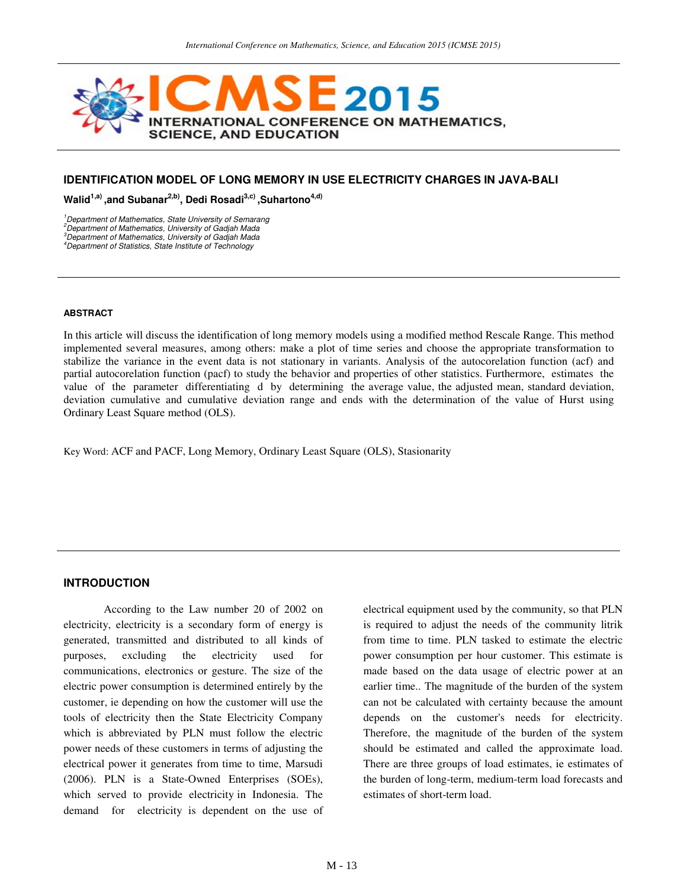

#### **IDENTIFICATION MODEL OF LONG MEMORY IN USE ELECTRICITY CHARGES IN JAVA-BALI**

**Walid1,a) 2,b), Dedi Rosadi3,c) ,Suhartono4,d) ,and Subanar**

<sup>1</sup>Department of Mathematics, State University of Semarang  $^{2}$ Department of Mathematics, University of Gadjah Mada <sup>3</sup>Department of Mathematics, University of Gadjah Mada <sup>4</sup>Department of Statistics, State Institute of Technology

#### **ABSTRACT**

In this article will discuss the identification of long memory models using a modified method Rescale Range. This method implemented several measures, among others: make a plot of time series and choose the appropriate transformation to stabilize the variance in the event data is not stationary in variants. Analysis of the autocorelation function (acf) and partial autocorelation function (pacf) to study the behavior and properties of other statistics. Furthermore, estimates the value of the parameter differentiating d by determining the average value, the adjusted mean, standard deviation, deviation cumulative and cumulative deviation range and ends with the determination of the value of Hurst using Ordinary Least Square method (OLS).

Key Word: ACF and PACF, Long Memory, Ordinary Least Square (OLS), Stasionarity

#### **INTRODUCTION**

According to the Law number 20 of 2002 on electricity, electricity is a secondary form of energy is generated, transmitted and distributed to all kinds of purposes, excluding the electricity used for communications, electronics or gesture. The size of the electric power consumption is determined entirely by the customer, ie depending on how the customer will use the tools of electricity then the State Electricity Company which is abbreviated by PLN must follow the electric power needs of these customers in terms of adjusting the electrical power it generates from time to time, Marsudi (2006). PLN is a State-Owned Enterprises (SOEs), which served to provide electricity in Indonesia. The demand for electricity is dependent on the use of

electrical equipment used by the community, so that PLN is required to adjust the needs of the community litrik from time to time. PLN tasked to estimate the electric power consumption per hour customer. This estimate is made based on the data usage of electric power at an earlier time.. The magnitude of the burden of the system can not be calculated with certainty because the amount depends on the customer's needs for electricity. Therefore, the magnitude of the burden of the system should be estimated and called the approximate load. There are three groups of load estimates, ie estimates of the burden of long-term, medium-term load forecasts and estimates of short-term load.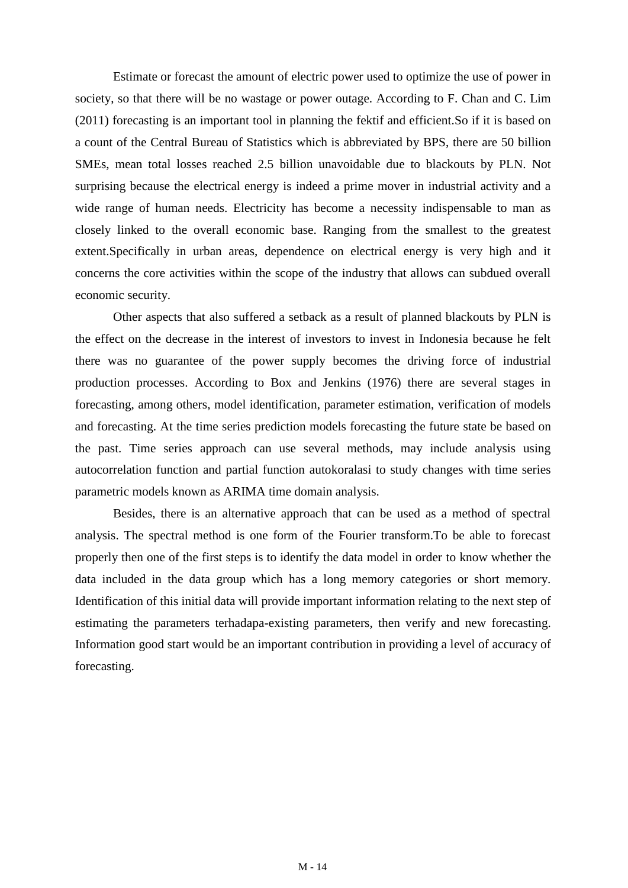Estimate or forecast the amount of electric power used to optimize the use of power in society, so that there will be no wastage or power outage. According to F. Chan and C. Lim (2011) forecasting is an important tool in planning the fektif and efficient.So if it is based on a count of the Central Bureau of Statistics which is abbreviated by BPS, there are 50 billion SMEs, mean total losses reached 2.5 billion unavoidable due to blackouts by PLN. Not surprising because the electrical energy is indeed a prime mover in industrial activity and a wide range of human needs. Electricity has become a necessity indispensable to man as closely linked to the overall economic base. Ranging from the smallest to the greatest extent.Specifically in urban areas, dependence on electrical energy is very high and it concerns the core activities within the scope of the industry that allows can subdued overall economic security.

Other aspects that also suffered a setback as a result of planned blackouts by PLN is the effect on the decrease in the interest of investors to invest in Indonesia because he felt there was no guarantee of the power supply becomes the driving force of industrial production processes. According to Box and Jenkins (1976) there are several stages in forecasting, among others, model identification, parameter estimation, verification of models and forecasting. At the time series prediction models forecasting the future state be based on the past. Time series approach can use several methods, may include analysis using autocorrelation function and partial function autokoralasi to study changes with time series parametric models known as ARIMA time domain analysis.

Besides, there is an alternative approach that can be used as a method of spectral analysis. The spectral method is one form of the Fourier transform.To be able to forecast properly then one of the first steps is to identify the data model in order to know whether the data included in the data group which has a long memory categories or short memory. Identification of this initial data will provide important information relating to the next step of estimating the parameters terhadapa-existing parameters, then verify and new forecasting. Information good start would be an important contribution in providing a level of accuracy of forecasting.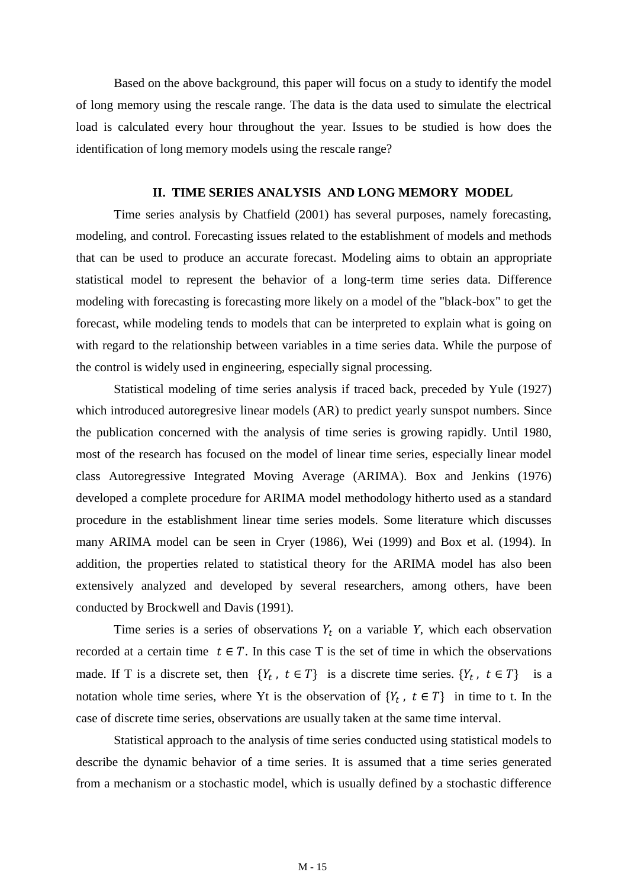Based on the above background, this paper will focus on a study to identify the model of long memory using the rescale range. The data is the data used to simulate the electrical load is calculated every hour throughout the year. Issues to be studied is how does the identification of long memory models using the rescale range?

## **II. TIME SERIES ANALYSIS AND LONG MEMORY MODEL**

Time series analysis by Chatfield (2001) has several purposes, namely forecasting, modeling, and control. Forecasting issues related to the establishment of models and methods that can be used to produce an accurate forecast. Modeling aims to obtain an appropriate statistical model to represent the behavior of a long-term time series data. Difference modeling with forecasting is forecasting more likely on a model of the "black-box" to get the forecast, while modeling tends to models that can be interpreted to explain what is going on with regard to the relationship between variables in a time series data. While the purpose of the control is widely used in engineering, especially signal processing.

Statistical modeling of time series analysis if traced back, preceded by Yule (1927) which introduced autoregresive linear models (AR) to predict yearly sunspot numbers. Since the publication concerned with the analysis of time series is growing rapidly. Until 1980, most of the research has focused on the model of linear time series, especially linear model class Autoregressive Integrated Moving Average (ARIMA). Box and Jenkins (1976) developed a complete procedure for ARIMA model methodology hitherto used as a standard procedure in the establishment linear time series models. Some literature which discusses many ARIMA model can be seen in Cryer (1986), Wei (1999) and Box et al. (1994). In addition, the properties related to statistical theory for the ARIMA model has also been extensively analyzed and developed by several researchers, among others, have been conducted by Brockwell and Davis (1991).

Time series is a series of observations  $Y_t$  on a variable *Y*, which each observation recorded at a certain time  $t \in T$ . In this case T is the set of time in which the observations made. If T is a discrete set, then  $\{Y_t, t \in T\}$  is a discrete time series.  $\{Y_t, t \in T\}$  is a notation whole time series, where Yt is the observation of  $\{Y_t, t \in T\}$  in time to t. In the case of discrete time series, observations are usually taken at the same time interval.

Statistical approach to the analysis of time series conducted using statistical models to describe the dynamic behavior of a time series. It is assumed that a time series generated from a mechanism or a stochastic model, which is usually defined by a stochastic difference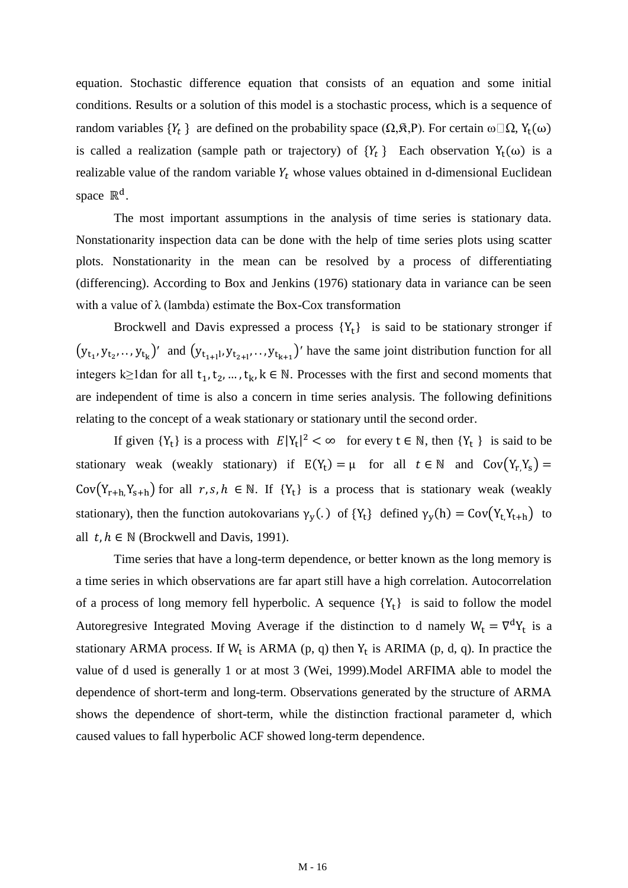equation. Stochastic difference equation that consists of an equation and some initial conditions. Results or a solution of this model is a stochastic process, which is a sequence of random variables  $\{Y_t\}$  are defined on the probability space  $(\Omega, \mathfrak{K}, P)$ . For certain  $\omega \Box \Omega$ , is called a realization (sample path or trajectory) of  $\{Y_t\}$  Each observation  $Y_t(\omega)$  is a realizable value of the random variable  $Y_t$  whose values obtained in d-dimensional Euclidean space  $\mathbb{R}^d$ .

The most important assumptions in the analysis of time series is stationary data. Nonstationarity inspection data can be done with the help of time series plots using scatter plots. Nonstationarity in the mean can be resolved by a process of differentiating (differencing). According to Box and Jenkins (1976) stationary data in variance can be seen with a value of  $\lambda$  (lambda) estimate the Box-Cox transformation

Brockwell and Davis expressed a process  ${Y_t}$  is said to be stationary stronger if  $(y_{t_1}, y_{t_2},..., y_{t_k})'$  and  $(y_{t_{1+1}}, y_{t_{2+1}},..., y_{t_{k+1}})'$  have the same joint distribution function for all integers k≥1dan for all  $t_1, t_2, ..., t_k, k \in \mathbb{N}$ . Processes with the first and second moments that are independent of time is also a concern in time series analysis. The following definitions relating to the concept of a weak stationary or stationary until the second order.

If given  ${Y_t}$  is a process with  $E|Y_t|^2 < \infty$  for every  $t \in \mathbb{N}$ , then  ${Y_t}$  is said to be stationary weak (weakly stationary) if  $E(Y_t) = \mu$  for all  $t \in \mathbb{N}$  and  $Cov(Y_{r+h}, Y_{s+h})$  for all  $r, s, h \in \mathbb{N}$ . If  $\{Y_t\}$  is a process that is stationary weak (weakly stationary), then the function autokovarians  $\gamma_v$ . of  $\{Y_t\}$  defined  $\gamma_v(h) = Cov(Y_t, Y_{t+h})$  to all  $t, h \in \mathbb{N}$  (Brockwell and Davis, 1991).

Time series that have a long-term dependence, or better known as the long memory is a time series in which observations are far apart still have a high correlation. Autocorrelation of a process of long memory fell hyperbolic. A sequence  ${Y_t}$  is said to follow the model Autoregresive Integrated Moving Average if the distinction to d namely  $W_t = \nabla^d Y_t$  is a stationary ARMA process. If  $W_t$  is ARMA (p, q) then  $Y_t$  is ARIMA (p, d, q). In practice the value of d used is generally 1 or at most 3 (Wei, 1999).Model ARFIMA able to model the dependence of short-term and long-term. Observations generated by the structure of ARMA shows the dependence of short-term, while the distinction fractional parameter d, which caused values to fall hyperbolic ACF showed long-term dependence.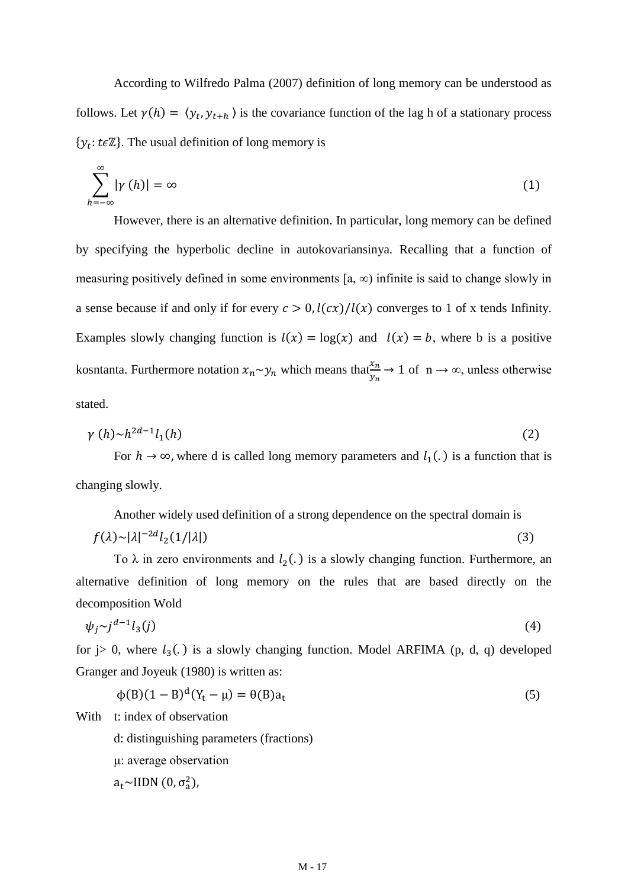According to Wilfredo Palma (2007) definition of long memory can be understood as follows. Let  $\gamma(h) = \langle y_t, y_{t+h} \rangle$  is the covariance function of the lag h of a stationary process  $\{y_t: t \in \mathbb{Z}\}$ . The usual definition of long memory is

$$
\sum_{h=-\infty}^{\infty} |\gamma(h)| = \infty \tag{1}
$$

However, there is an alternative definition. In particular, long memory can be defined by specifying the hyperbolic decline in autokovariansinya. Recalling that a function of measuring positively defined in some environments  $[a, \infty)$  infinite is said to change slowly in a sense because if and only if for every  $c > 0$ ,  $l(cx)/l(x)$  converges to 1 of x tends Infinity. Examples slowly changing function is  $l(x) = \log(x)$  and  $l(x) = b$ , where b is a positive kosntanta. Furthermore notation  $x_n \sim y_n$  which means that  $\frac{x_n}{y_n} \to 1$  of  $n \to \infty$ , unless otherwise stated.

$$
\gamma(h) \sim h^{2d-1} l_1(h) \tag{2}
$$

For  $h \to \infty$ , where d is called long memory parameters and  $l_1(.)$  is a function that is changing slowly.

Another widely used definition of a strong dependence on the spectral domain is

$$
f(\lambda) \sim |\lambda|^{-2d} l_2(1/|\lambda|) \tag{3}
$$

To  $\lambda$  in zero environments and  $l_2(.)$  is a slowly changing function. Furthermore, an alternative definition of long memory on the rules that are based directly on the decomposition Wold

$$
\psi_j \sim j^{d-1} l_3(j) \tag{4}
$$

for  $j>0$ , where  $l_3(.)$  is a slowly changing function. Model ARFIMA (p, d, q) developed Granger and Joyeuk (1980) is written as:

$$
\phi(B)(1 - B)^d(Y_t - \mu) = \theta(B)a_t
$$
\n(5)

With t: index of observation

d: distinguishing parameters (fractions)

- μ: average observation
- $a_t \sim$ HDN  $(0, \sigma_a^2)$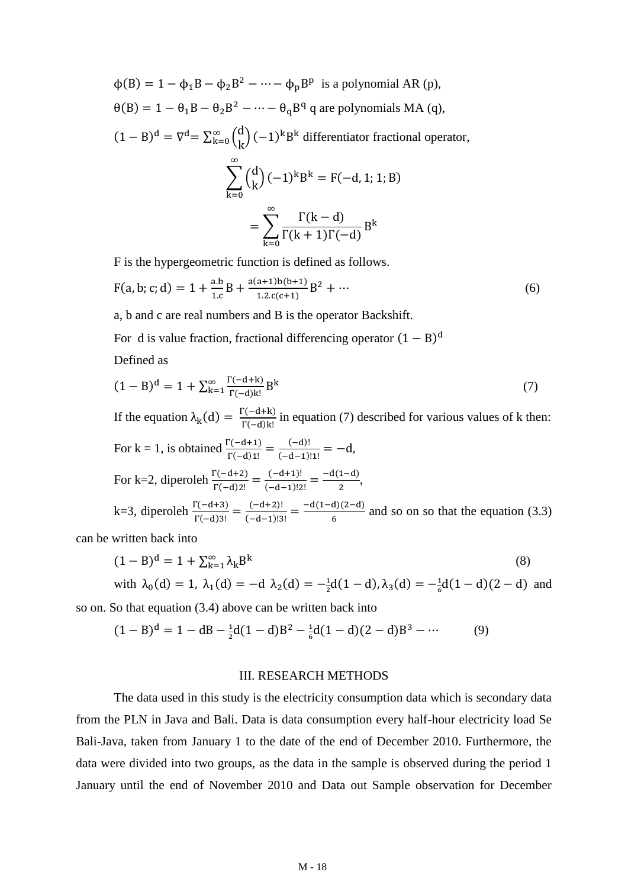$$
\phi(B) = 1 - \phi_1 B - \phi_2 B^2 - \dots - \phi_p B^p
$$
 is a polynomial AR (p),  
\n
$$
\theta(B) = 1 - \theta_1 B - \theta_2 B^2 - \dots - \theta_q B^q
$$
q are polynomials MA (q),  
\n
$$
(1 - B)^d = \nabla^d = \sum_{k=0}^{\infty} {d \choose k} (-1)^k B^k
$$
 differentiator fractional operator,  
\n
$$
\sum_{k=0}^{\infty} {d \choose k} (-1)^k B^k = F(-d, 1; 1; B)
$$
  
\n
$$
= \sum_{k=0}^{\infty} \frac{\Gamma(k - d)}{\Gamma(k + 1)\Gamma(-d)} B^k
$$

F is the hypergeometric function is defined as follows.

$$
F(a, b; c; d) = 1 + \frac{a.b}{1.c}B + \frac{a(a+1)b(b+1)}{1.2.c(c+1)}B^2 + \cdots
$$
 (6)

a, b and c are real numbers and B is the operator Backshift.

For d is value fraction, fractional differencing operator  $(1 - B)^d$ 

Defined as

$$
(1 - B)d = 1 + \sum_{k=1}^{\infty} \frac{\Gamma(-d+k)}{\Gamma(-d)k!} B^{k}
$$
 (7)

If the equation  $\lambda_k(d) = \frac{1}{b}$  $\frac{1}{\Gamma(-d)k!}$  in equation (7) described for various values of k then: For k = 1, is obtained  $\frac{\Gamma(-d+1)}{\Gamma(-d)1!} = \frac{1}{(-d+1)!}$  $\frac{(-a)}{(-d-1)!} =$ For k=2, diperoleh  $\frac{\Gamma(-d+2)}{\Gamma(-d)2!} = \frac{1}{2}$  $\frac{(-d+1)!}{(-d-1)!2!} = \frac{1-u}{2}$ ,

k=3, diperoleh  $\frac{\Gamma(-d+3)}{\Gamma(-d)3!} = \frac{0}{(-d+3)}$  $\frac{(-d+2)!}{(-d-1)!3!} = \frac{\mu_{1}(2-\mu)}{6}$  and so on so that the equation (3.3)

can be written back into

$$
(1 - B)d = 1 + \sum_{k=1}^{\infty} \lambda_k B^k
$$
 (8)

with  $\lambda_0(d) = 1$ ,  $\lambda_1(d) = -d \lambda_2(d) = -\frac{1}{2}$  $\frac{1}{2}d(1-d), \lambda_3(d) = -\frac{1}{6}$  $\frac{1}{6}d(1-d)(2-d)$  and

so on. So that equation (3.4) above can be written back into

$$
(1 - B)d = 1 - dB - \frac{1}{2}d(1 - d)B2 - \frac{1}{6}d(1 - d)(2 - d)B3 - \cdots
$$
 (9)

## III. RESEARCH METHODS

The data used in this study is the electricity consumption data which is secondary data from the PLN in Java and Bali. Data is data consumption every half-hour electricity load Se Bali-Java, taken from January 1 to the date of the end of December 2010. Furthermore, the data were divided into two groups, as the data in the sample is observed during the period 1 January until the end of November 2010 and Data out Sample observation for December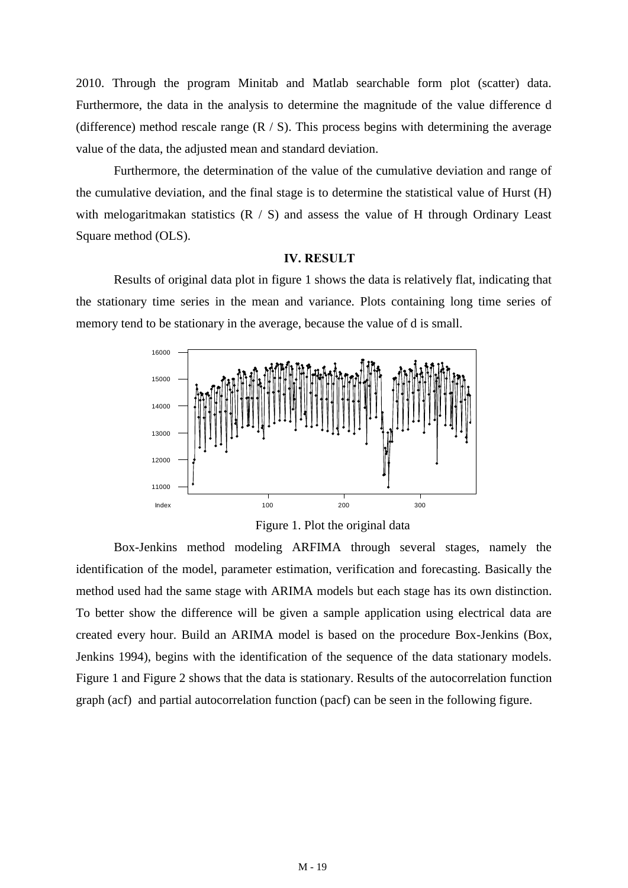2010. Through the program Minitab and Matlab searchable form plot (scatter) data. Furthermore, the data in the analysis to determine the magnitude of the value difference d (difference) method rescale range  $(R / S)$ . This process begins with determining the average value of the data, the adjusted mean and standard deviation.

Furthermore, the determination of the value of the cumulative deviation and range of the cumulative deviation, and the final stage is to determine the statistical value of Hurst (H) with melogaritmakan statistics  $(R / S)$  and assess the value of H through Ordinary Least Square method (OLS).

# **IV. RESULT**

the stationary time series in the mean and variance. Plots containing long time series of memory tend to be stationary in the average, because the value of d is small. Results of original data plot in figure 1 shows the data is relatively flat, indicating that



Figure 1. Plot the original data

Box-Jenkins method modeling ARFIMA through several stages, namely the identification of the model, parameter estimation, verification and forecasting. Basically the method used had the same stage with ARIMA models but each stage has its own distinction. To better show the difference will be given a sample application using electrical data are created every hour. Build an ARIMA model is based on the procedure Box-Jenkins (Box, Jenkins 1994), begins with the identification of the sequence of the data stationary models. Figure 1 and Figure 2 shows that the data is stationary. Results of the autocorrelation function graph (acf) and partial autocorrelation function (pacf) can be seen in the following figure.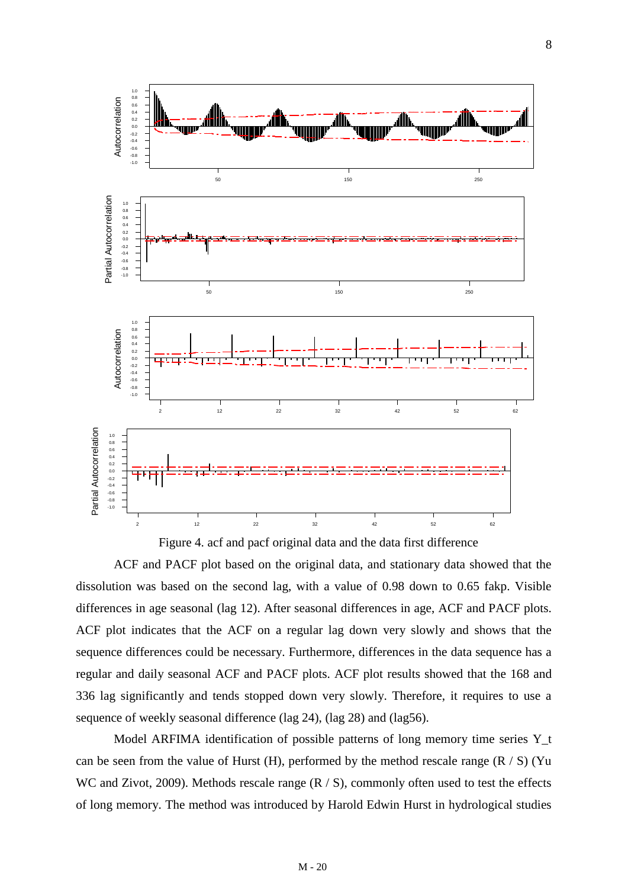

Figure 4. acf and pacf original data and the data first difference  $\sigma$  and  $\sigma$  is a set of the set of the set of the set of the set of the set of the set of the set of the set of the set of the set of the set of the set of the set of the set of the set of the set of the set of the set

ACF and PACF plot based on the original data, and stationary data showed that the dissolution was based on the second lag, with a value of 0.98 down to 0.65 fakp. Visible differences in age seasonal (lag 12). After seasonal differences in age, ACF and PACF plots. ACF plot indicates that the ACF on a regular lag down very slowly and shows that the sequence differences could be necessary. Furthermore, differences in the data sequence has a regular and daily seasonal ACF and PACF plots. ACF plot results showed that the 168 and 336 lag significantly and tends stopped down very slowly. Therefore, it requires to use a sequence of weekly seasonal difference (lag 24), (lag 28) and (lag56).  $\overline{SO}$  $\sim$  $\frac{1}{a}$  $\mathbf{s}$  i  $nc$  $er$  $\overline{5}$ ere f $\epsilon$  $\overline{A}$ se  $1i$ 

Model ARFIMA identification of possible patterns of long memory time series Y\_t can be seen from the value of Hurst (H), performed by the method rescale range  $(R / S)$  (Yu WC and Zivot, 2009). Methods rescale range  $(R / S)$ , commonly often used to test the effects of long memory. The method was introduced by Harold Edwin Hurst in hydrological studies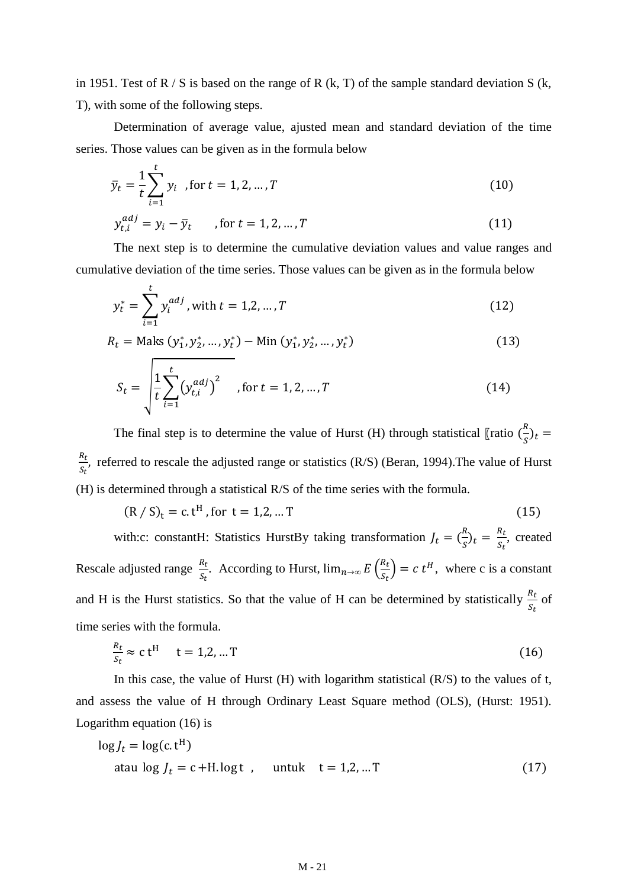in 1951. Test of  $R / S$  is based on the range of R  $(k, T)$  of the sample standard deviation S  $(k,$ T), with some of the following steps.

Determination of average value, ajusted mean and standard deviation of the time series. Those values can be given as in the formula below

$$
\bar{y}_t = \frac{1}{t} \sum_{i=1}^t y_i \quad \text{for } t = 1, 2, \dots, T
$$
 (10)

$$
y_{t,i}^{adj} = y_i - \bar{y}_t \qquad \text{for } t = 1, 2, ..., T \tag{11}
$$

The next step is to determine the cumulative deviation values and value ranges and cumulative deviation of the time series. Those values can be given as in the formula below

$$
y_t^* = \sum_{i=1}^t y_i^{adj}
$$
, with  $t = 1, 2, ..., T$  (12)

$$
R_t = \text{Maks}(y_1^*, y_2^*, \dots, y_t^*) - \text{Min}(y_1^*, y_2^*, \dots, y_t^*)
$$
\n(13)

$$
S_t = \sqrt{\frac{1}{t} \sum_{i=1}^{t} (y_{t,i}^{adj})^2}
$$
, for  $t = 1, 2, ..., T$  (14)

The final step is to determine the value of Hurst (H) through statistical [ratio  $\left(\frac{R}{a}\right)$  $\frac{\pi}{s}$  $\boldsymbol{R}$  $\frac{\Delta t}{\Delta t}$ , referred to rescale the adjusted range or statistics (R/S) (Beran, 1994). The value of Hurst (H) is determined through a statistical R/S of the time series with the formula.

$$
(R / S)t = c. tH, for t = 1,2,...T
$$
 (15)

with:c: constantH: Statistics HurstBy taking transformation  $J_t = \left(\frac{R}{c}\right)^2$  $(\frac{R}{S})_t = \frac{R}{S}$  $\frac{\pi_t}{S_t}$ , created Rescale adjusted range  $\frac{R_t}{S_t}$ . According to Hurst,  $\lim_{n\to\infty} E\left(\frac{R}{S_t}\right)$  $\left(\frac{R_t}{S_t}\right)$  = c t<sup>H</sup>, where c is a constant and H is the Hurst statistics. So that the value of H can be determined by statistically  $\frac{\kappa_t}{s_t}$  of time series with the formula.

$$
\frac{R_t}{S_t} \approx c t^H \qquad t = 1, 2, \dots T \tag{16}
$$

In this case, the value of Hurst  $(H)$  with logarithm statistical  $(R/S)$  to the values of t, and assess the value of H through Ordinary Least Square method (OLS), (Hurst: 1951). Logarithm equation (16) is

$$
\log J_t = \log(c \cdot t^H)
$$
  
atau log  $J_t = c + H$ . log t , untuk  $t = 1, 2, ... T$  (17)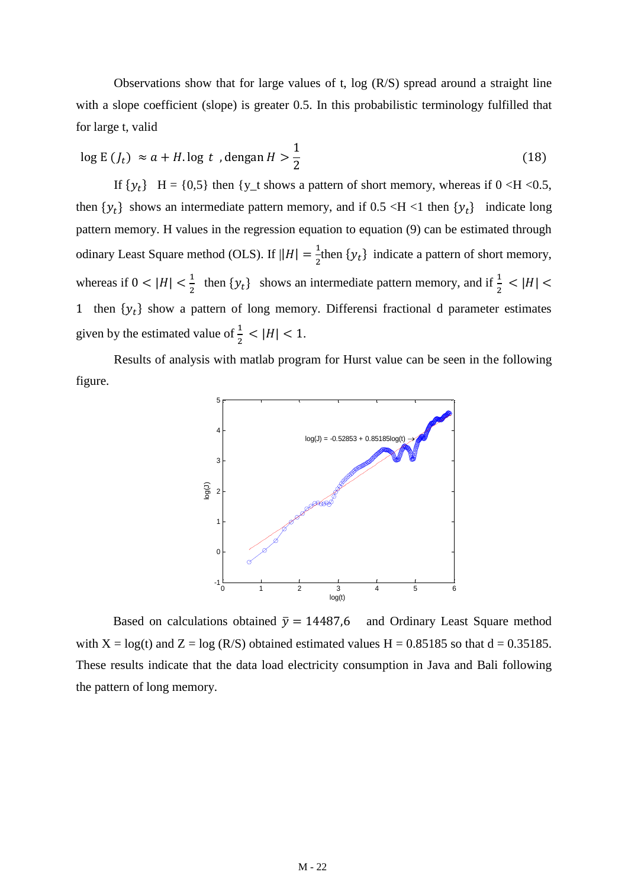Observations show that for large values of t, log (R/S) spread around a straight line with a slope coefficient (slope) is greater 0.5. In this probabilistic terminology fulfilled that for large t, valid

$$
\log E\left(J_t\right) \approx a + H.\log t \text{ , } \text{dengan } H > \frac{1}{2} \tag{18}
$$

If  $\{y_t\}$  H = {0,5} then {y\_t shows a pattern of short memory, whereas if 0 <H <0.5, then  $\{y_t\}$  shows an intermediate pattern memory, and if 0.5 <H <1 then  $\{y_t\}$  indicate long pattern memory. H values in the regression equation to equation (9) can be estimated through odinary Least Square method (OLS). If  $||H|| = \frac{1}{2}$  $\frac{1}{2}$ then  $\{y_t\}$  indicate a pattern of short memory, whereas if  $0 < |H| < \frac{1}{2}$  $\frac{1}{2}$  then  $\{y_t\}$  shows an intermediate pattern memory, and if  $\frac{1}{2}$  < 1 then  $\{y_t\}$  show a pattern of long memory. Differensi fractional d parameter estimates given by the estimated value of  $\frac{1}{2} < |H| < 1$ .

Results of analysis with matlab program for Hurst value can be seen in the following figure.



Based on calculations obtained  $\bar{y} = 14487.6$  and Ordinary Least Square method with  $X = log(t)$  and  $Z = log(R/S)$  obtained estimated values  $H = 0.85185$  so that  $d = 0.35185$ . These results indicate that the data load electricity consumption in Java and Bali following the pattern of long memory.